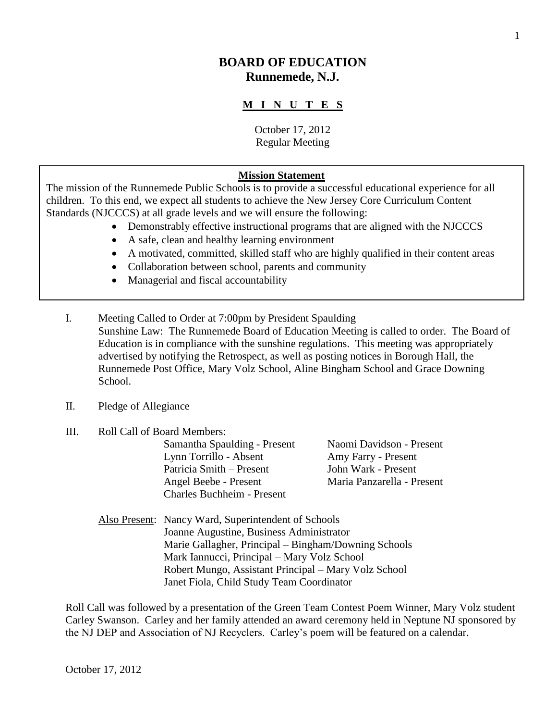# **BOARD OF EDUCATION Runnemede, N.J.**

## **M I N U T E S**

October 17, 2012 Regular Meeting

#### **Mission Statement**

The mission of the Runnemede Public Schools is to provide a successful educational experience for all children. To this end, we expect all students to achieve the New Jersey Core Curriculum Content Standards (NJCCCS) at all grade levels and we will ensure the following:

- Demonstrably effective instructional programs that are aligned with the NJCCCS
- A safe, clean and healthy learning environment
- A motivated, committed, skilled staff who are highly qualified in their content areas
- Collaboration between school, parents and community
- Managerial and fiscal accountability
- I. Meeting Called to Order at 7:00pm by President Spaulding Sunshine Law: The Runnemede Board of Education Meeting is called to order. The Board of Education is in compliance with the sunshine regulations. This meeting was appropriately advertised by notifying the Retrospect, as well as posting notices in Borough Hall, the Runnemede Post Office, Mary Volz School, Aline Bingham School and Grace Downing School.
- II. Pledge of Allegiance
- III. Roll Call of Board Members:

Samantha Spaulding - Present Naomi Davidson - Present Lynn Torrillo - Absent Amy Farry - Present Patricia Smith – Present John Wark - Present Angel Beebe - Present Maria Panzarella - Present Charles Buchheim - Present

Also Present: Nancy Ward, Superintendent of Schools Joanne Augustine, Business Administrator Marie Gallagher, Principal – Bingham/Downing Schools Mark Iannucci, Principal – Mary Volz School Robert Mungo, Assistant Principal – Mary Volz School Janet Fiola, Child Study Team Coordinator

Roll Call was followed by a presentation of the Green Team Contest Poem Winner, Mary Volz student Carley Swanson. Carley and her family attended an award ceremony held in Neptune NJ sponsored by the NJ DEP and Association of NJ Recyclers. Carley's poem will be featured on a calendar.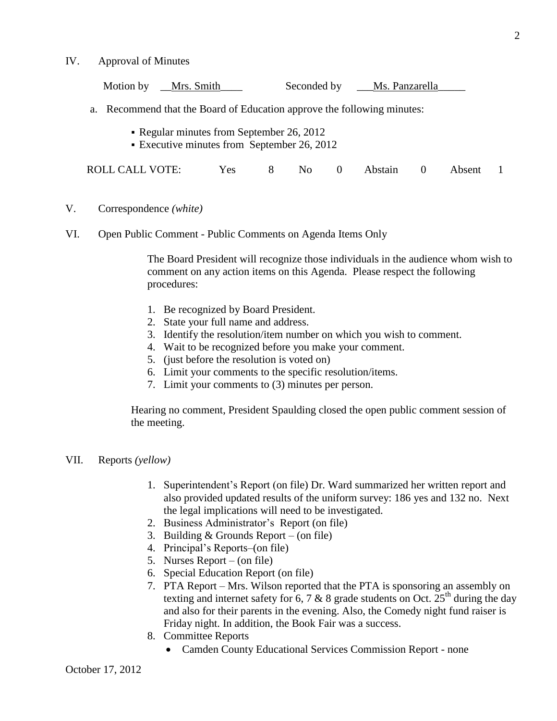IV. Approval of Minutes

| Motion by __Mrs. Smith                                                                   |            |   |    |          | Seconded by ___Ms. Panzarella |        |  |
|------------------------------------------------------------------------------------------|------------|---|----|----------|-------------------------------|--------|--|
| Recommend that the Board of Education approve the following minutes:<br>a.               |            |   |    |          |                               |        |  |
| • Regular minutes from September 26, 2012<br>• Executive minutes from September 26, 2012 |            |   |    |          |                               |        |  |
| ROLL CALL VOTE:                                                                          | <b>Yes</b> | 8 | No | $\Omega$ | Abstain                       | Absent |  |

- V. Correspondence *(white)*
- VI. Open Public Comment Public Comments on Agenda Items Only

The Board President will recognize those individuals in the audience whom wish to comment on any action items on this Agenda. Please respect the following procedures:

- 1. Be recognized by Board President.
- 2. State your full name and address.
- 3. Identify the resolution/item number on which you wish to comment.
- 4. Wait to be recognized before you make your comment.
- 5. (just before the resolution is voted on)
- 6. Limit your comments to the specific resolution/items.
- 7. Limit your comments to (3) minutes per person.

Hearing no comment, President Spaulding closed the open public comment session of the meeting.

- VII. Reports *(yellow)*
	- 1. Superintendent's Report (on file) Dr. Ward summarized her written report and also provided updated results of the uniform survey: 186 yes and 132 no. Next the legal implications will need to be investigated.
	- 2. Business Administrator's Report (on file)
	- 3. Building & Grounds Report (on file)
	- 4. Principal's Reports–(on file)
	- 5. Nurses Report (on file)
	- 6. Special Education Report (on file)
	- 7. PTA Report Mrs. Wilson reported that the PTA is sponsoring an assembly on texting and internet safety for 6, 7 & 8 grade students on Oct. 25<sup>th</sup> during the day and also for their parents in the evening. Also, the Comedy night fund raiser is Friday night. In addition, the Book Fair was a success.
	- 8. Committee Reports
		- Camden County Educational Services Commission Report none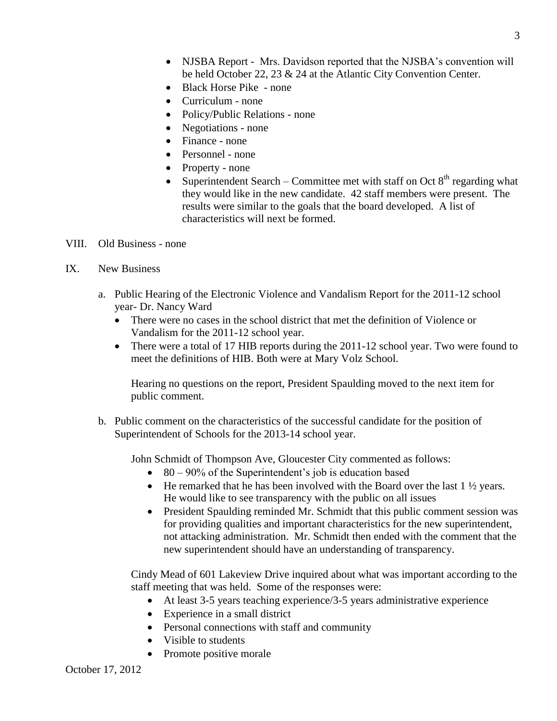- NJSBA Report Mrs. Davidson reported that the NJSBA's convention will be held October 22, 23 & 24 at the Atlantic City Convention Center.
- Black Horse Pike none
- Curriculum none
- Policy/Public Relations none
- Negotiations none
- Finance none
- Personnel none
- Property none
- Superintendent Search Committee met with staff on Oct  $8<sup>th</sup>$  regarding what they would like in the new candidate. 42 staff members were present. The results were similar to the goals that the board developed. A list of characteristics will next be formed.
- VIII. Old Business none
- IX. New Business
	- a. Public Hearing of the Electronic Violence and Vandalism Report for the 2011-12 school year- Dr. Nancy Ward
		- There were no cases in the school district that met the definition of Violence or Vandalism for the 2011-12 school year.
		- There were a total of 17 HIB reports during the 2011-12 school year. Two were found to meet the definitions of HIB. Both were at Mary Volz School.

Hearing no questions on the report, President Spaulding moved to the next item for public comment.

b. Public comment on the characteristics of the successful candidate for the position of Superintendent of Schools for the 2013-14 school year.

John Schmidt of Thompson Ave, Gloucester City commented as follows:

- $\bullet$  80 90% of the Superintendent's job is education based
- $\bullet$  He remarked that he has been involved with the Board over the last 1  $\frac{1}{2}$  years. He would like to see transparency with the public on all issues
- President Spaulding reminded Mr. Schmidt that this public comment session was for providing qualities and important characteristics for the new superintendent, not attacking administration. Mr. Schmidt then ended with the comment that the new superintendent should have an understanding of transparency.

Cindy Mead of 601 Lakeview Drive inquired about what was important according to the staff meeting that was held. Some of the responses were:

- At least 3-5 years teaching experience/3-5 years administrative experience
- Experience in a small district
- Personal connections with staff and community
- Visible to students
- Promote positive morale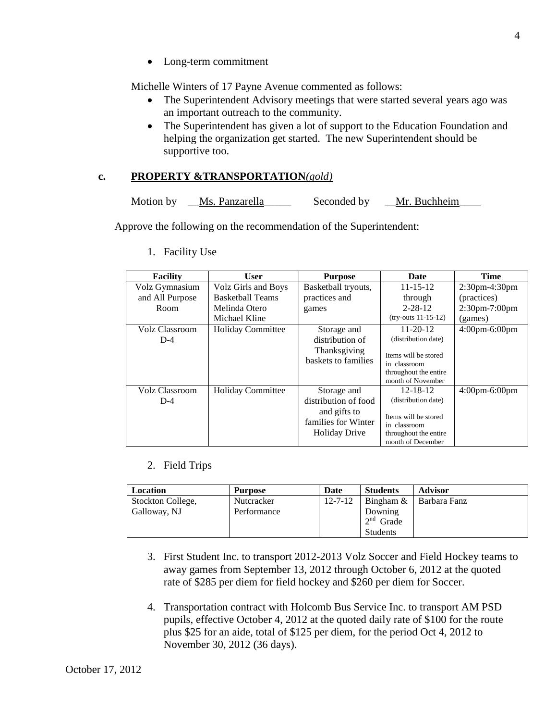• Long-term commitment

Michelle Winters of 17 Payne Avenue commented as follows:

- The Superintendent Advisory meetings that were started several years ago was an important outreach to the community.
- The Superintendent has given a lot of support to the Education Foundation and helping the organization get started. The new Superintendent should be supportive too.

# **c. PROPERTY &TRANSPORTATION***(gold)*

```
Motion by Ms. Panzarella Seconded by Mr. Buchheim
```
Approve the following on the recommendation of the Superintendent:

| <b>Facility</b>                | <b>User</b>              | <b>Purpose</b>                                                                                     | <b>Date</b>                                                                                                                 | <b>Time</b>                     |
|--------------------------------|--------------------------|----------------------------------------------------------------------------------------------------|-----------------------------------------------------------------------------------------------------------------------------|---------------------------------|
| Volz Gymnasium                 | Volz Girls and Boys      | Basketball tryouts,                                                                                | $11 - 15 - 12$                                                                                                              | $2:30$ pm-4:30pm                |
| and All Purpose                | <b>Basketball Teams</b>  | practices and                                                                                      | through                                                                                                                     | (practices)                     |
| Room                           | Melinda Otero            | games                                                                                              | $2 - 28 - 12$                                                                                                               | 2:30pm-7:00pm                   |
|                                | Michael Kline            |                                                                                                    | $(try-outs 11-15-12)$                                                                                                       | (games)                         |
| <b>Volz Classroom</b><br>$D-4$ | <b>Holiday Committee</b> | Storage and<br>distribution of<br>Thanksgiving<br>baskets to families                              | $11 - 20 - 12$<br>(distribution date)<br>Items will be stored<br>in classroom<br>throughout the entire<br>month of November | $4:00$ pm-6:00pm                |
| Volz Classroom<br>$D-4$        | <b>Holiday Committee</b> | Storage and<br>distribution of food<br>and gifts to<br>families for Winter<br><b>Holiday Drive</b> | $12 - 18 - 12$<br>(distribution date)<br>Items will be stored<br>in classroom<br>throughout the entire<br>month of December | $4:00 \text{pm-}6:00 \text{pm}$ |

1. Facility Use

# 2. Field Trips

| Location          | <b>Purpose</b> | Date          | <b>Students</b> | <b>Advisor</b>              |
|-------------------|----------------|---------------|-----------------|-----------------------------|
| Stockton College, | Nutcracker     | $12 - 7 - 12$ |                 | Bingham $\&$   Barbara Fanz |
| Galloway, NJ      | Performance    |               | Downing         |                             |
|                   |                |               | $2nd$ Grade     |                             |
|                   |                |               | <b>Students</b> |                             |

- 3. First Student Inc. to transport 2012-2013 Volz Soccer and Field Hockey teams to away games from September 13, 2012 through October 6, 2012 at the quoted rate of \$285 per diem for field hockey and \$260 per diem for Soccer.
- 4. Transportation contract with Holcomb Bus Service Inc. to transport AM PSD pupils, effective October 4, 2012 at the quoted daily rate of \$100 for the route plus \$25 for an aide, total of \$125 per diem, for the period Oct 4, 2012 to November 30, 2012 (36 days).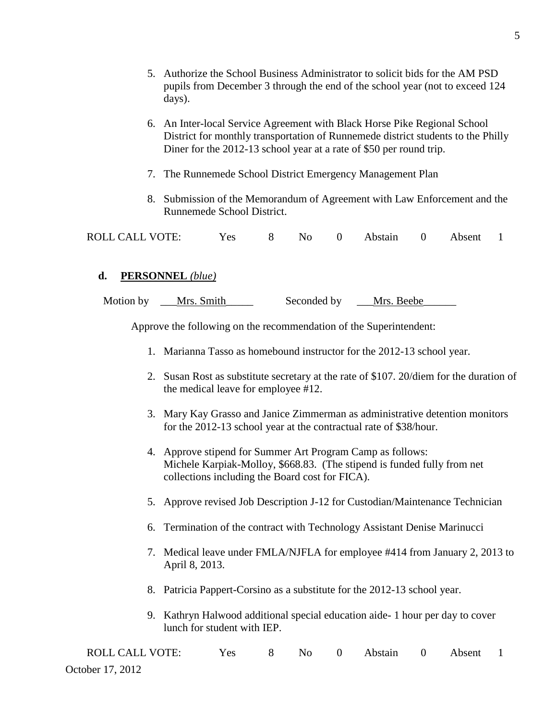- 5. Authorize the School Business Administrator to solicit bids for the AM PSD pupils from December 3 through the end of the school year (not to exceed 124 days).
- 6. An Inter-local Service Agreement with Black Horse Pike Regional School District for monthly transportation of Runnemede district students to the Philly Diner for the 2012-13 school year at a rate of \$50 per round trip.
- 7. The Runnemede School District Emergency Management Plan
- 8. Submission of the Memorandum of Agreement with Law Enforcement and the Runnemede School District.

| ROLL CALL VOTE: | Yes |  |  |  | 8 No 0 Abstain 0 Absent 1 |  |  |  |
|-----------------|-----|--|--|--|---------------------------|--|--|--|
|-----------------|-----|--|--|--|---------------------------|--|--|--|

#### **d. PERSONNEL** *(blue)*

| Motion by | Mrs. Smith | Seconded by | Mrs. Beebe |
|-----------|------------|-------------|------------|
|           |            |             |            |

Approve the following on the recommendation of the Superintendent:

- 1. Marianna Tasso as homebound instructor for the 2012-13 school year.
- 2. Susan Rost as substitute secretary at the rate of \$107. 20/diem for the duration of the medical leave for employee #12.
- 3. Mary Kay Grasso and Janice Zimmerman as administrative detention monitors for the 2012-13 school year at the contractual rate of \$38/hour.
- 4. Approve stipend for Summer Art Program Camp as follows: Michele Karpiak-Molloy, \$668.83. (The stipend is funded fully from net collections including the Board cost for FICA).
- 5. Approve revised Job Description J-12 for Custodian/Maintenance Technician
- 6. Termination of the contract with Technology Assistant Denise Marinucci
- 7. Medical leave under FMLA/NJFLA for employee #414 from January 2, 2013 to April 8, 2013.
- 8. Patricia Pappert-Corsino as a substitute for the 2012-13 school year.
- 9. Kathryn Halwood additional special education aide- 1 hour per day to cover lunch for student with IEP.

| <b>ROLL CALL VOTE:</b> | Yes |  | 8 No 0 Abstain 0 Absent 1 |  |  |
|------------------------|-----|--|---------------------------|--|--|
| October 17, 2012       |     |  |                           |  |  |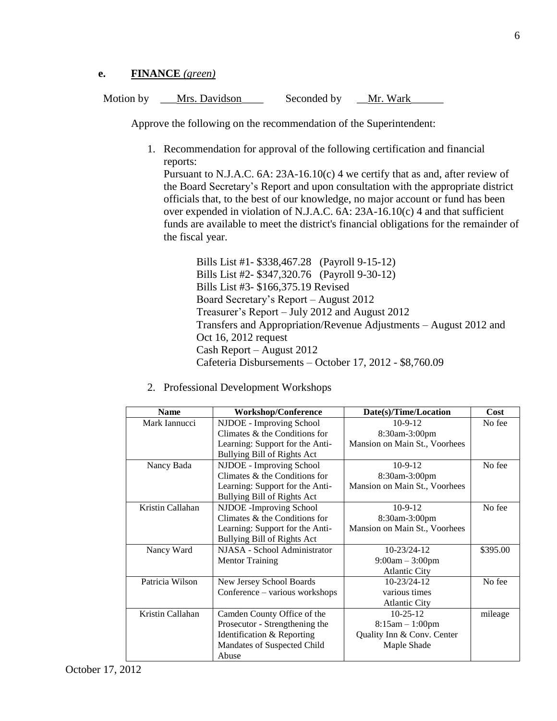### **e. FINANCE** *(green)*

Motion by \_\_Mrs. Davidson\_\_\_\_ Seconded by \_\_Mr. Wark

Approve the following on the recommendation of the Superintendent:

1. Recommendation for approval of the following certification and financial reports:

Pursuant to N.J.A.C. 6A: 23A-16.10(c) 4 we certify that as and, after review of the Board Secretary's Report and upon consultation with the appropriate district officials that, to the best of our knowledge, no major account or fund has been over expended in violation of N.J.A.C. 6A: 23A-16.10(c) 4 and that sufficient funds are available to meet the district's financial obligations for the remainder of the fiscal year.

Bills List #1- \$338,467.28 (Payroll 9-15-12) Bills List #2- \$347,320.76 (Payroll 9-30-12) Bills List #3- \$166,375.19 Revised Board Secretary's Report – August 2012 Treasurer's Report – July 2012 and August 2012 Transfers and Appropriation/Revenue Adjustments – August 2012 and Oct 16, 2012 request Cash Report – August 2012 Cafeteria Disbursements – October 17, 2012 - \$8,760.09

2. Professional Development Workshops

| <b>Name</b>      | <b>Workshop/Conference</b>      | Date(s)/Time/Location         | Cost     |
|------------------|---------------------------------|-------------------------------|----------|
| Mark Iannucci    | NJDOE - Improving School        | $10-9-12$                     | No fee   |
|                  | Climates & the Conditions for   | 8:30am-3:00pm                 |          |
|                  | Learning: Support for the Anti- | Mansion on Main St., Voorhees |          |
|                  | Bullying Bill of Rights Act     |                               |          |
| Nancy Bada       | <b>NJDOE</b> - Improving School | $10-9-12$                     | No fee   |
|                  | Climates & the Conditions for   | 8:30am-3:00pm                 |          |
|                  | Learning: Support for the Anti- | Mansion on Main St., Voorhees |          |
|                  | Bullying Bill of Rights Act     |                               |          |
| Kristin Callahan | NJDOE -Improving School         | $10-9-12$                     | No fee   |
|                  | Climates & the Conditions for   | 8:30am-3:00pm                 |          |
|                  | Learning: Support for the Anti- | Mansion on Main St., Voorhees |          |
|                  | Bullying Bill of Rights Act     |                               |          |
| Nancy Ward       | NJASA - School Administrator    | 10-23/24-12                   | \$395.00 |
|                  | <b>Mentor Training</b>          | $9:00am - 3:00pm$             |          |
|                  |                                 | <b>Atlantic City</b>          |          |
| Patricia Wilson  | New Jersey School Boards        | $10 - 23/24 - 12$             | No fee   |
|                  | Conference - various workshops  | various times                 |          |
|                  |                                 | <b>Atlantic City</b>          |          |
| Kristin Callahan | Camden County Office of the     | $10 - 25 - 12$                | mileage  |
|                  | Prosecutor - Strengthening the  | $8:15am - 1:00pm$             |          |
|                  | Identification & Reporting      | Quality Inn & Conv. Center    |          |
|                  | Mandates of Suspected Child     | Maple Shade                   |          |
|                  | Abuse                           |                               |          |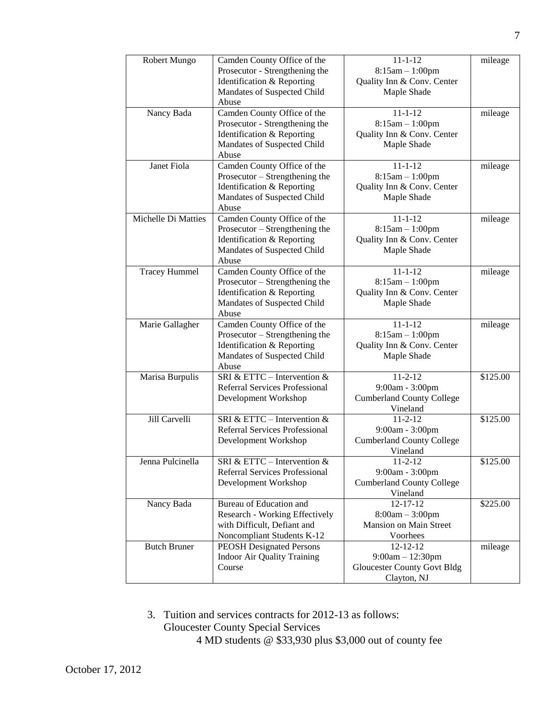| Robert Mungo         | Camden County Office of the        | $11 - 1 - 12$                      | mileage  |
|----------------------|------------------------------------|------------------------------------|----------|
|                      | Prosecutor - Strengthening the     | $8:15am - 1:00pm$                  |          |
|                      | Identification & Reporting         | Quality Inn & Conv. Center         |          |
|                      | Mandates of Suspected Child        | Maple Shade                        |          |
|                      | Abuse                              |                                    |          |
| Nancy Bada           | Camden County Office of the        | $11 - 1 - 12$                      | mileage  |
|                      | Prosecutor - Strengthening the     | $8:15am - 1:00pm$                  |          |
|                      | Identification & Reporting         | Quality Inn & Conv. Center         |          |
|                      | Mandates of Suspected Child        | Maple Shade                        |          |
|                      | Abuse                              |                                    |          |
| Janet Fiola          | Camden County Office of the        | $11 - 1 - 12$                      | mileage  |
|                      | Prosecutor - Strengthening the     | $8:15am - 1:00pm$                  |          |
|                      | Identification & Reporting         | Quality Inn & Conv. Center         |          |
|                      | Mandates of Suspected Child        | Maple Shade                        |          |
|                      | Abuse                              |                                    |          |
| Michelle Di Matties  | Camden County Office of the        | $11 - 1 - 12$                      | mileage  |
|                      | Prosecutor – Strengthening the     | $8:15am - 1:00pm$                  |          |
|                      | Identification & Reporting         | Quality Inn & Conv. Center         |          |
|                      | Mandates of Suspected Child        | Maple Shade                        |          |
|                      | Abuse                              |                                    |          |
| <b>Tracey Hummel</b> | Camden County Office of the        | $11 - 1 - 12$                      | mileage  |
|                      | Prosecutor – Strengthening the     | $8:15am - 1:00pm$                  |          |
|                      | Identification & Reporting         | Quality Inn & Conv. Center         |          |
|                      | Mandates of Suspected Child        | Maple Shade                        |          |
|                      | Abuse                              |                                    |          |
| Marie Gallagher      | Camden County Office of the        | $11 - 1 - 12$                      | mileage  |
|                      | Prosecutor – Strengthening the     | $8:15am - 1:00pm$                  |          |
|                      | Identification & Reporting         | Quality Inn & Conv. Center         |          |
|                      | Mandates of Suspected Child        | Maple Shade                        |          |
|                      | Abuse                              |                                    |          |
| Marisa Burpulis      | SRI & ETTC - Intervention &        | $11 - 2 - 12$                      | \$125.00 |
|                      | Referral Services Professional     | 9:00am - 3:00pm                    |          |
|                      | Development Workshop               | <b>Cumberland County College</b>   |          |
|                      |                                    | Vineland                           |          |
| Jill Carvelli        | SRI & ETTC – Intervention &        | $11 - 2 - 12$                      | \$125.00 |
|                      | Referral Services Professional     | 9:00am - 3:00pm                    |          |
|                      | Development Workshop               | <b>Cumberland County College</b>   |          |
|                      |                                    | Vineland                           |          |
| Jenna Pulcinella     | SRI & ETTC – Intervention $\&$     | 11-2-12                            | \$125.00 |
|                      | Referral Services Professional     | 9:00am - 3:00pm                    |          |
|                      | Development Workshop               | <b>Cumberland County College</b>   |          |
|                      |                                    | Vineland                           |          |
| Nancy Bada           | Bureau of Education and            | $12 - 17 - 12$                     | \$225.00 |
|                      | Research - Working Effectively     | $8:00am - 3:00pm$                  |          |
|                      | with Difficult, Defiant and        | <b>Mansion on Main Street</b>      |          |
|                      | Noncompliant Students K-12         | Voorhees                           |          |
| <b>Butch Bruner</b>  | <b>PEOSH Designated Persons</b>    | $12 - 12 - 12$                     | mileage  |
|                      | <b>Indoor Air Quality Training</b> | $9:00am - 12:30pm$                 |          |
|                      | Course                             | <b>Gloucester County Govt Bldg</b> |          |
|                      |                                    | Clayton, NJ                        |          |

3. Tuition and services contracts for 2012-13 as follows: Gloucester County Special Services

4 MD students @ \$33,930 plus \$3,000 out of county fee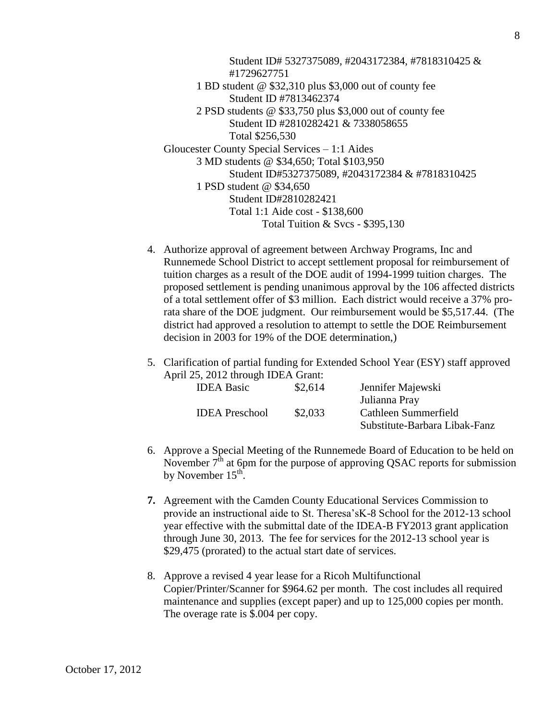Student ID# 5327375089, #2043172384, #7818310425 & #1729627751 1 BD student @ \$32,310 plus \$3,000 out of county fee Student ID #7813462374 2 PSD students @ \$33,750 plus \$3,000 out of county fee Student ID #2810282421 & 7338058655 Total \$256,530 Gloucester County Special Services – 1:1 Aides 3 MD students @ \$34,650; Total \$103,950 Student ID#5327375089, #2043172384 & #7818310425 1 PSD student @ \$34,650 Student ID#2810282421 Total 1:1 Aide cost - \$138,600 Total Tuition & Svcs - \$395,130

- 4. Authorize approval of agreement between Archway Programs, Inc and Runnemede School District to accept settlement proposal for reimbursement of tuition charges as a result of the DOE audit of 1994-1999 tuition charges. The proposed settlement is pending unanimous approval by the 106 affected districts of a total settlement offer of \$3 million. Each district would receive a 37% prorata share of the DOE judgment. Our reimbursement would be \$5,517.44. (The district had approved a resolution to attempt to settle the DOE Reimbursement decision in 2003 for 19% of the DOE determination,)
- 5. Clarification of partial funding for Extended School Year (ESY) staff approved April 25, 2012 through IDEA Grant:

| \$2,614<br><b>IDEA Basic</b> |         | Jennifer Majewski             |
|------------------------------|---------|-------------------------------|
|                              |         | Julianna Pray                 |
| <b>IDEA</b> Preschool        | \$2,033 | Cathleen Summerfield          |
|                              |         | Substitute-Barbara Libak-Fanz |

- 6. Approve a Special Meeting of the Runnemede Board of Education to be held on November  $7<sup>th</sup>$  at 6pm for the purpose of approving OSAC reports for submission by November  $15^{\text{th}}$ .
- **7.** Agreement with the Camden County Educational Services Commission to provide an instructional aide to St. Theresa'sK-8 School for the 2012-13 school year effective with the submittal date of the IDEA-B FY2013 grant application through June 30, 2013. The fee for services for the 2012-13 school year is \$29,475 (prorated) to the actual start date of services.
- 8. Approve a revised 4 year lease for a Ricoh Multifunctional Copier/Printer/Scanner for \$964.62 per month. The cost includes all required maintenance and supplies (except paper) and up to 125,000 copies per month. The overage rate is \$.004 per copy.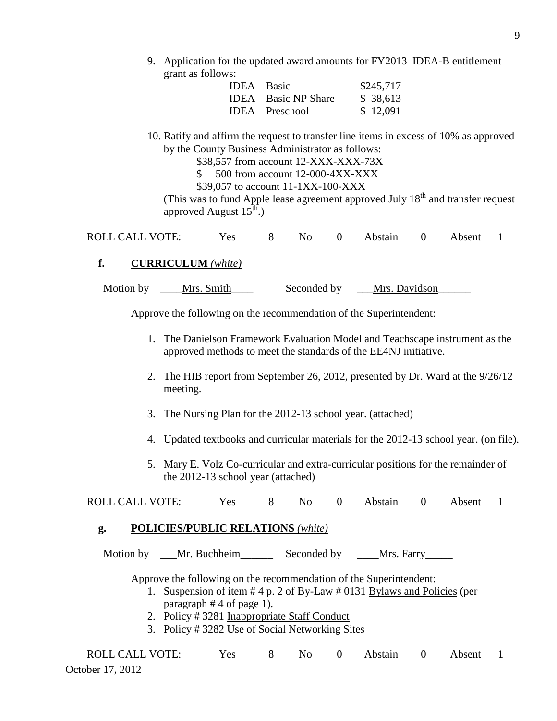9. Application for the updated award amounts for FY2013 IDEA-B entitlement grant as follows:

| $IDEA - Basic$               | \$245,717 |
|------------------------------|-----------|
| <b>IDEA</b> – Basic NP Share | \$ 38,613 |
| $IDEA - Preschool$           | \$12,091  |

- 10. Ratify and affirm the request to transfer line items in excess of 10% as approved by the County Business Administrator as follows:
	- \$38,557 from account 12-XXX-XXX-73X
	- \$ 500 from account 12-000-4XX-XXX

\$39,057 to account 11-1XX-100-XXX

(This was to fund Apple lease agreement approved July  $18<sup>th</sup>$  and transfer request approved August  $15<sup>th</sup>$ .)

| <b>ROLL CALL VOTE:</b> |  |  | Yes 8 No 0 Abstain 0 Absent 1 |  |  |
|------------------------|--|--|-------------------------------|--|--|
|                        |  |  |                               |  |  |

## **f. CURRICULUM** *(white)*

| Motion by | Mrs. Smith | Seconded by | Mrs. Davidson |
|-----------|------------|-------------|---------------|
|           |            |             |               |

Approve the following on the recommendation of the Superintendent:

- 1. The Danielson Framework Evaluation Model and Teachscape instrument as the approved methods to meet the standards of the EE4NJ initiative.
- 2. The HIB report from September 26, 2012, presented by Dr. Ward at the 9/26/12 meeting.
- 3. The Nursing Plan for the 2012-13 school year. (attached)
- 4. Updated textbooks and curricular materials for the 2012-13 school year. (on file).
- 5. Mary E. Volz Co-curricular and extra-curricular positions for the remainder of the 2012-13 school year (attached)

ROLL CALL VOTE: Yes 8 No 0 Abstain 0 Absent 1

### **g. POLICIES/PUBLIC RELATIONS** *(white)*

Motion by \_\_\_Mr. Buchheim\_\_\_\_\_\_\_\_ Seconded by \_\_\_\_Mrs. Farry\_\_\_\_\_\_\_\_\_\_\_\_\_\_\_\_\_\_\_\_\_

Approve the following on the recommendation of the Superintendent:

- 1. Suspension of item # 4 p. 2 of By-Law # 0131 Bylaws and Policies (per paragraph # 4 of page 1).
- 2. Policy # 3281 Inappropriate Staff Conduct
- 3. Policy # 3282 Use of Social Networking Sites

| <b>ROLL CALL VOTE:</b> | Yes | $\mathbf{8}$ |  | No 0 Abstain 0 Absent 1 |  |  |
|------------------------|-----|--------------|--|-------------------------|--|--|
| October 17, 2012       |     |              |  |                         |  |  |